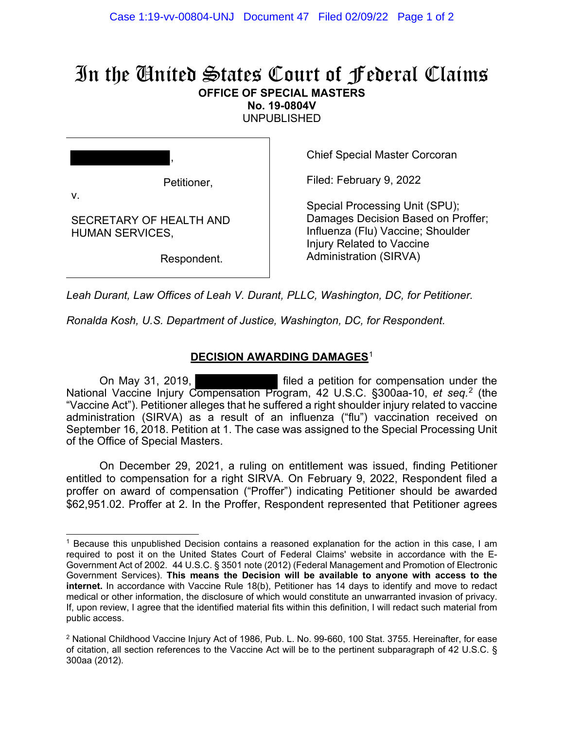## In the United States Court of Federal Claims **OFFICE OF SPECIAL MASTERS**

**No. 19-0804V** 

UNPUBLISHED

, Petitioner, v.

SECRETARY OF HEALTH AND HUMAN SERVICES,

Respondent.

Chief Special Master Corcoran

Filed: February 9, 2022

Special Processing Unit (SPU); Damages Decision Based on Proffer; Influenza (Flu) Vaccine; Shoulder Injury Related to Vaccine Administration (SIRVA)

*Leah Durant, Law Offices of Leah V. Durant, PLLC, Washington, DC, for Petitioner.*

*Ronalda Kosh, U.S. Department of Justice, Washington, DC, for Respondent.*

## **DECISION AWARDING DAMAGES**<sup>1</sup>

On May 31, 2019, filed a petition for compensation under the National Vaccine Injury Compensation Program, 42 U.S.C. §300aa-10, *et seq.*<sup>2</sup> (the "Vaccine Act"). Petitioner alleges that he suffered a right shoulder injury related to vaccine administration (SIRVA) as a result of an influenza ("flu") vaccination received on September 16, 2018. Petition at 1. The case was assigned to the Special Processing Unit of the Office of Special Masters.

On December 29, 2021, a ruling on entitlement was issued, finding Petitioner entitled to compensation for a right SIRVA. On February 9, 2022, Respondent filed a proffer on award of compensation ("Proffer") indicating Petitioner should be awarded \$62,951.02. Proffer at 2. In the Proffer, Respondent represented that Petitioner agrees

<sup>1</sup> Because this unpublished Decision contains a reasoned explanation for the action in this case, I am required to post it on the United States Court of Federal Claims' website in accordance with the E-Government Act of 2002. 44 U.S.C. § 3501 note (2012) (Federal Management and Promotion of Electronic Government Services). **This means the Decision will be available to anyone with access to the internet.** In accordance with Vaccine Rule 18(b), Petitioner has 14 days to identify and move to redact medical or other information, the disclosure of which would constitute an unwarranted invasion of privacy. If, upon review, I agree that the identified material fits within this definition, I will redact such material from public access.

<sup>2</sup> National Childhood Vaccine Injury Act of 1986, Pub. L. No. 99-660, 100 Stat. 3755. Hereinafter, for ease of citation, all section references to the Vaccine Act will be to the pertinent subparagraph of 42 U.S.C. § 300aa (2012).